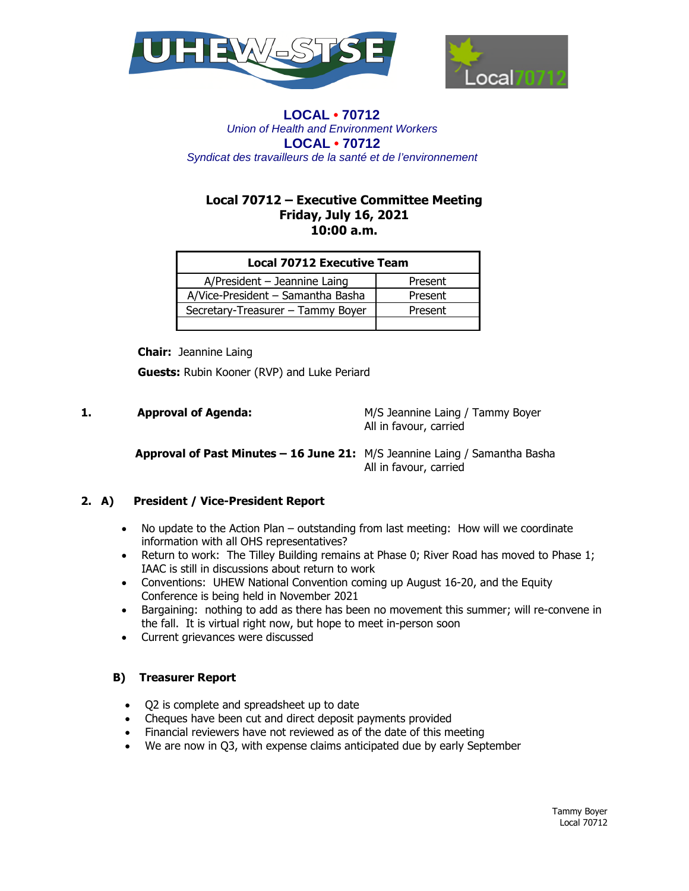



## **LOCAL • 70712** *Union of Health and Environment Workers* **LOCAL • 70712**  *Syndicat des travailleurs de la santé et de l'environnement*

# **Local 70712 – Executive Committee Meeting Friday, July 16, 2021 10:00 a.m.**

| <b>Local 70712 Executive Team</b> |         |
|-----------------------------------|---------|
| $A/P$ resident - Jeannine Laing   | Present |
| A/Vice-President - Samantha Basha | Present |
| Secretary-Treasurer - Tammy Boyer | Present |
|                                   |         |

 **Chair:** Jeannine Laing

 **Guests:** Rubin Kooner (RVP) and Luke Periard

**1.** Approval of Agenda: M/S Jeannine Laing / Tammy Boyer All in favour, carried

# **Approval of Past Minutes – 16 June 21:** M/S Jeannine Laing / Samantha Basha All in favour, carried

# **2. A) President / Vice-President Report**

- No update to the Action Plan outstanding from last meeting: How will we coordinate information with all OHS representatives?
- Return to work: The Tilley Building remains at Phase 0; River Road has moved to Phase 1; IAAC is still in discussions about return to work
- Conventions: UHEW National Convention coming up August 16-20, and the Equity Conference is being held in November 2021
- Bargaining: nothing to add as there has been no movement this summer; will re-convene in the fall. It is virtual right now, but hope to meet in-person soon
- Current grievances were discussed

# **B) Treasurer Report**

- Q2 is complete and spreadsheet up to date
- Cheques have been cut and direct deposit payments provided
- Financial reviewers have not reviewed as of the date of this meeting
- We are now in Q3, with expense claims anticipated due by early September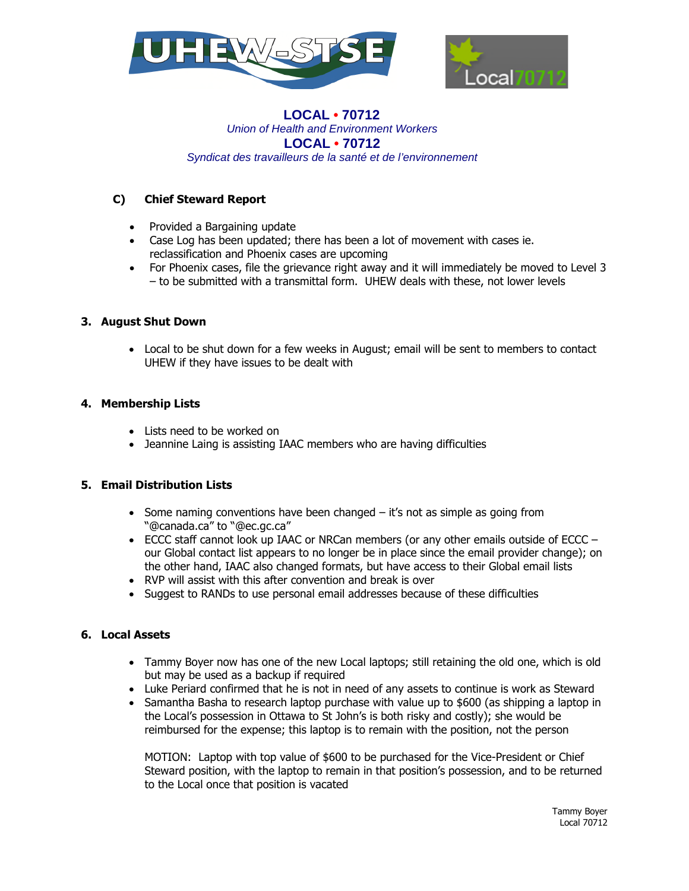



#### **LOCAL • 70712** *Union of Health and Environment Workers* **LOCAL • 70712**  *Syndicat des travailleurs de la santé et de l'environnement*

# **C) Chief Steward Report**

- Provided a Bargaining update
- Case Log has been updated; there has been a lot of movement with cases ie. reclassification and Phoenix cases are upcoming
- For Phoenix cases, file the grievance right away and it will immediately be moved to Level 3 – to be submitted with a transmittal form. UHEW deals with these, not lower levels

## **3. August Shut Down**

 Local to be shut down for a few weeks in August; email will be sent to members to contact UHEW if they have issues to be dealt with

#### **4. Membership Lists**

- Lists need to be worked on
- Jeannine Laing is assisting IAAC members who are having difficulties

## **5. Email Distribution Lists**

- Some naming conventions have been changed it's not as simple as going from "@canada.ca" to "@ec.gc.ca"
- $\bullet$  ECCC staff cannot look up IAAC or NRCan members (or any other emails outside of ECCC our Global contact list appears to no longer be in place since the email provider change); on the other hand, IAAC also changed formats, but have access to their Global email lists
- RVP will assist with this after convention and break is over
- Suggest to RANDs to use personal email addresses because of these difficulties

## **6. Local Assets**

- Tammy Boyer now has one of the new Local laptops; still retaining the old one, which is old but may be used as a backup if required
- Luke Periard confirmed that he is not in need of any assets to continue is work as Steward
- $\bullet$  Samantha Basha to research laptop purchase with value up to \$600 (as shipping a laptop in the Local's possession in Ottawa to St John's is both risky and costly); she would be reimbursed for the expense; this laptop is to remain with the position, not the person

MOTION: Laptop with top value of \$600 to be purchased for the Vice-President or Chief Steward position, with the laptop to remain in that position's possession, and to be returned to the Local once that position is vacated